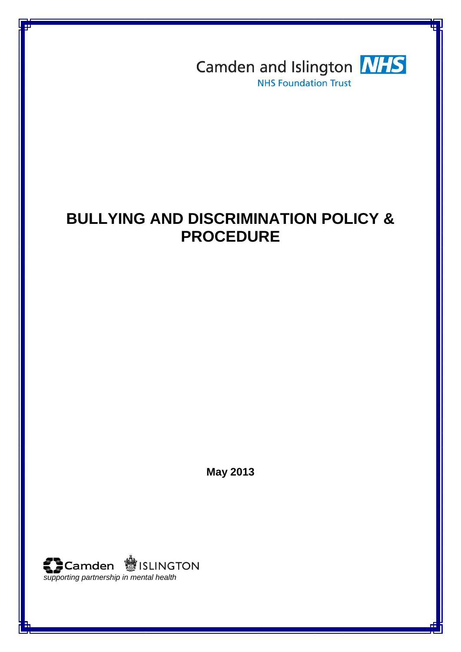

# **BULLYING AND DISCRIMINATION POLICY & PROCEDURE**

**May 2013**

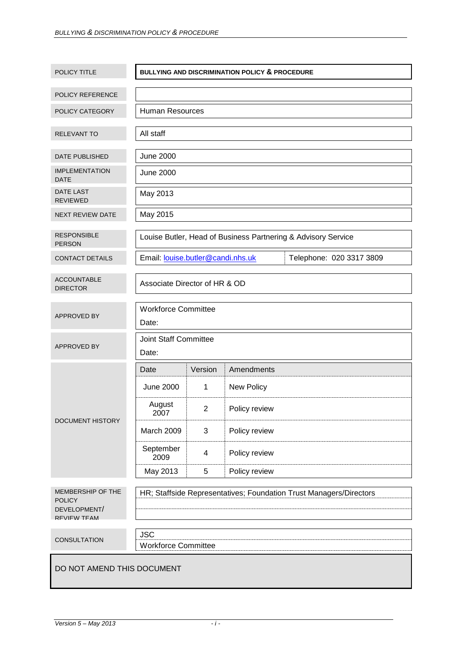| POLICY TITLE                                                      | <b>BULLYING AND DISCRIMINATION POLICY &amp; PROCEDURE</b>     |                |                                                                    |  |  |
|-------------------------------------------------------------------|---------------------------------------------------------------|----------------|--------------------------------------------------------------------|--|--|
|                                                                   |                                                               |                |                                                                    |  |  |
| POLICY REFERENCE                                                  |                                                               |                |                                                                    |  |  |
| POLICY CATEGORY                                                   | <b>Human Resources</b>                                        |                |                                                                    |  |  |
| RELEVANT TO                                                       | All staff                                                     |                |                                                                    |  |  |
| DATE PUBLISHED                                                    | <b>June 2000</b>                                              |                |                                                                    |  |  |
| <b>IMPLEMENTATION</b><br><b>DATE</b>                              | <b>June 2000</b>                                              |                |                                                                    |  |  |
| <b>DATE LAST</b><br><b>REVIEWED</b>                               | May 2013                                                      |                |                                                                    |  |  |
| <b>NEXT REVIEW DATE</b>                                           | May 2015                                                      |                |                                                                    |  |  |
| <b>RESPONSIBLE</b><br><b>PERSON</b>                               |                                                               |                | Louise Butler, Head of Business Partnering & Advisory Service      |  |  |
| <b>CONTACT DETAILS</b>                                            | Email: louise.butler@candi.nhs.uk<br>Telephone: 020 3317 3809 |                |                                                                    |  |  |
| <b>ACCOUNTABLE</b><br><b>DIRECTOR</b>                             | Associate Director of HR & OD                                 |                |                                                                    |  |  |
| <b>APPROVED BY</b>                                                | <b>Workforce Committee</b><br>Date:                           |                |                                                                    |  |  |
| APPROVED BY                                                       | Joint Staff Committee<br>Date:                                |                |                                                                    |  |  |
| <b>DOCUMENT HISTORY</b>                                           | Date                                                          | Version        | Amendments                                                         |  |  |
|                                                                   | <b>June 2000</b>                                              | 1              | New Policy                                                         |  |  |
|                                                                   | August<br>2007                                                | $\overline{c}$ | Policy review                                                      |  |  |
|                                                                   | March 2009                                                    | 3              | Policy review                                                      |  |  |
|                                                                   | September<br>2009                                             | 4              | Policy review                                                      |  |  |
|                                                                   | May 2013                                                      | 5              | Policy review                                                      |  |  |
| MEMBERSHIP OF THE<br><b>POLICY</b><br>DEVELOPMENT/<br>REVIEW TEAM |                                                               |                | HR; Staffside Representatives; Foundation Trust Managers/Directors |  |  |
| CONSULTATION                                                      | <b>JSC</b><br><b>Workforce Committee</b>                      |                |                                                                    |  |  |
| DO NOT AMEND THIS DOCUMENT                                        |                                                               |                |                                                                    |  |  |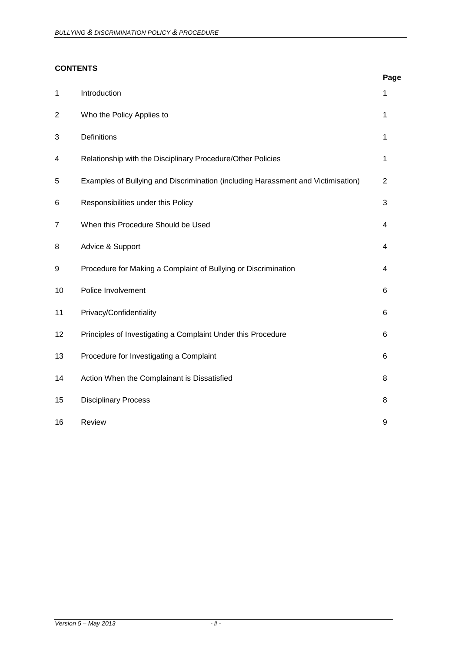# **CONTENTS**

|                |                                                                                  | Page           |
|----------------|----------------------------------------------------------------------------------|----------------|
| 1              | Introduction                                                                     | 1              |
| $\overline{2}$ | Who the Policy Applies to                                                        | 1              |
| 3              | Definitions                                                                      | $\mathbf{1}$   |
| 4              | Relationship with the Disciplinary Procedure/Other Policies                      | 1              |
| 5              | Examples of Bullying and Discrimination (including Harassment and Victimisation) | $\overline{2}$ |
| 6              | Responsibilities under this Policy                                               | 3              |
| $\overline{7}$ | When this Procedure Should be Used                                               | 4              |
| 8              | Advice & Support                                                                 | 4              |
| 9              | Procedure for Making a Complaint of Bullying or Discrimination                   | 4              |
| 10             | Police Involvement                                                               | 6              |
| 11             | Privacy/Confidentiality                                                          | 6              |
| 12             | Principles of Investigating a Complaint Under this Procedure                     | 6              |
| 13             | Procedure for Investigating a Complaint                                          | 6              |
| 14             | Action When the Complainant is Dissatisfied                                      | 8              |
| 15             | <b>Disciplinary Process</b>                                                      | 8              |
| 16             | Review                                                                           | 9              |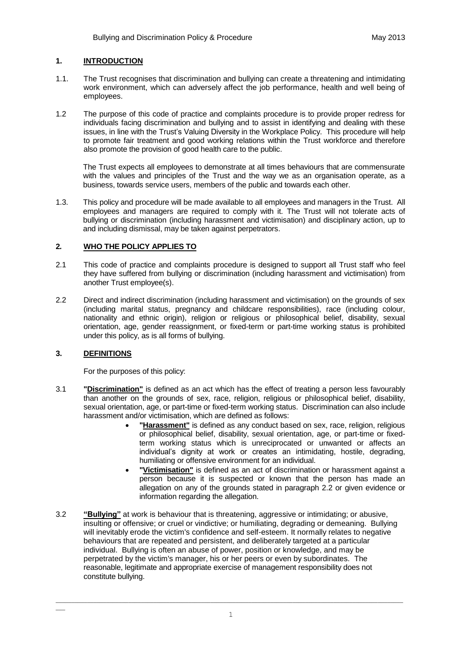# **1. INTRODUCTION**

- 1.1. The Trust recognises that discrimination and bullying can create a threatening and intimidating work environment, which can adversely affect the job performance, health and well being of employees.
- 1.2 The purpose of this code of practice and complaints procedure is to provide proper redress for individuals facing discrimination and bullying and to assist in identifying and dealing with these issues, in line with the Trust's Valuing Diversity in the Workplace Policy. This procedure will help to promote fair treatment and good working relations within the Trust workforce and therefore also promote the provision of good health care to the public.

The Trust expects all employees to demonstrate at all times behaviours that are commensurate with the values and principles of the Trust and the way we as an organisation operate, as a business, towards service users, members of the public and towards each other.

1.3. This policy and procedure will be made available to all employees and managers in the Trust. All employees and managers are required to comply with it. The Trust will not tolerate acts of bullying or discrimination (including harassment and victimisation) and disciplinary action, up to and including dismissal, may be taken against perpetrators.

# **2***.* **WHO THE POLICY APPLIES TO**

- 2.1 This code of practice and complaints procedure is designed to support all Trust staff who feel they have suffered from bullying or discrimination (including harassment and victimisation) from another Trust employee(s).
- 2.2 Direct and indirect discrimination (including harassment and victimisation) on the grounds of sex (including marital status, pregnancy and childcare responsibilities), race (including colour, nationality and ethnic origin), religion or religious or philosophical belief, disability, sexual orientation, age, gender reassignment, or fixed-term or part-time working status is prohibited under this policy, as is all forms of bullying.

## **3. DEFINITIONS**

 $\overline{\phantom{a}}$ 

For the purposes of this policy:

- 3.1 **"Discrimination"** is defined as an act which has the effect of treating a person less favourably than another on the grounds of sex, race, religion, religious or philosophical belief, disability, sexual orientation, age, or part-time or fixed-term working status. Discrimination can also include harassment and/or victimisation, which are defined as follows:
	- **"Harassment"** is defined as any conduct based on sex, race, religion, religious or philosophical belief, disability, sexual orientation, age, or part-time or fixedterm working status which is unreciprocated or unwanted or affects an individual's dignity at work or creates an intimidating, hostile, degrading, humiliating or offensive environment for an individual.
	- **"Victimisation"** is defined as an act of discrimination or harassment against a person because it is suspected or known that the person has made an allegation on any of the grounds stated in paragraph 2.2 or given evidence or information regarding the allegation.
- 3.2 **"Bullying"** at work is behaviour that is threatening, aggressive or intimidating; or abusive, insulting or offensive; or cruel or vindictive; or humiliating, degrading or demeaning. Bullying will inevitably erode the victim's confidence and self-esteem. It normally relates to negative behaviours that are repeated and persistent, and deliberately targeted at a particular individual. Bullying is often an abuse of power, position or knowledge, and may be perpetrated by the victim's manager, his or her peers or even by subordinates. The reasonable, legitimate and appropriate exercise of management responsibility does not constitute bullying.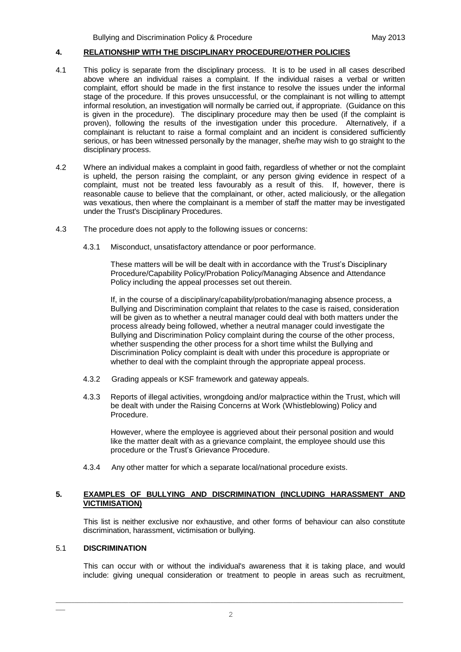#### **4. RELATIONSHIP WITH THE DISCIPLINARY PROCEDURE/OTHER POLICIES**

- 4.1 This policy is separate from the disciplinary process. It is to be used in all cases described above where an individual raises a complaint. If the individual raises a verbal or written complaint, effort should be made in the first instance to resolve the issues under the informal stage of the procedure. If this proves unsuccessful, or the complainant is not willing to attempt informal resolution, an investigation will normally be carried out, if appropriate. (Guidance on this is given in the procedure). The disciplinary procedure may then be used (if the complaint is proven), following the results of the investigation under this procedure. Alternatively, if a complainant is reluctant to raise a formal complaint and an incident is considered sufficiently serious, or has been witnessed personally by the manager, she/he may wish to go straight to the disciplinary process.
- 4.2 Where an individual makes a complaint in good faith, regardless of whether or not the complaint is upheld, the person raising the complaint, or any person giving evidence in respect of a complaint, must not be treated less favourably as a result of this. If, however, there is reasonable cause to believe that the complainant, or other, acted maliciously, or the allegation was vexatious, then where the complainant is a member of staff the matter may be investigated under the Trust's Disciplinary Procedures.
- 4.3 The procedure does not apply to the following issues or concerns:
	- 4.3.1 Misconduct, unsatisfactory attendance or poor performance.

These matters will be will be dealt with in accordance with the Trust's Disciplinary Procedure/Capability Policy/Probation Policy/Managing Absence and Attendance Policy including the appeal processes set out therein.

If, in the course of a disciplinary/capability/probation/managing absence process, a Bullying and Discrimination complaint that relates to the case is raised, consideration will be given as to whether a neutral manager could deal with both matters under the process already being followed, whether a neutral manager could investigate the Bullying and Discrimination Policy complaint during the course of the other process, whether suspending the other process for a short time whilst the Bullying and Discrimination Policy complaint is dealt with under this procedure is appropriate or whether to deal with the complaint through the appropriate appeal process.

- 4.3.2 Grading appeals or KSF framework and gateway appeals.
- 4.3.3 Reports of illegal activities, wrongdoing and/or malpractice within the Trust, which will be dealt with under the Raising Concerns at Work (Whistleblowing) Policy and Procedure.

However, where the employee is aggrieved about their personal position and would like the matter dealt with as a grievance complaint, the employee should use this procedure or the Trust's Grievance Procedure.

4.3.4 Any other matter for which a separate local/national procedure exists.

#### **5. EXAMPLES OF BULLYING AND DISCRIMINATION (INCLUDING HARASSMENT AND VICTIMISATION)**

This list is neither exclusive nor exhaustive, and other forms of behaviour can also constitute discrimination, harassment, victimisation or bullying.

#### 5.1 **DISCRIMINATION**

 $\overline{\phantom{a}}$ 

This can occur with or without the individual's awareness that it is taking place, and would include: giving unequal consideration or treatment to people in areas such as recruitment,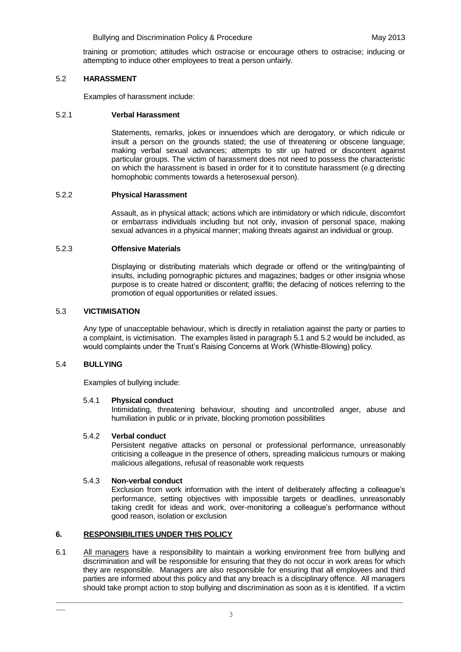training or promotion; attitudes which ostracise or encourage others to ostracise; inducing or attempting to induce other employees to treat a person unfairly.

## 5.2 **HARASSMENT**

Examples of harassment include:

## 5.2.1 **Verbal Harassment**

Statements, remarks, jokes or innuendoes which are derogatory, or which ridicule or insult a person on the grounds stated; the use of threatening or obscene language; making verbal sexual advances; attempts to stir up hatred or discontent against particular groups. The victim of harassment does not need to possess the characteristic on which the harassment is based in order for it to constitute harassment (e.g directing homophobic comments towards a heterosexual person).

## 5.2.2 **Physical Harassment**

Assault, as in physical attack; actions which are intimidatory or which ridicule, discomfort or embarrass individuals including but not only, invasion of personal space, making sexual advances in a physical manner; making threats against an individual or group.

#### 5.2.3 **Offensive Materials**

Displaying or distributing materials which degrade or offend or the writing/painting of insults, including pornographic pictures and magazines; badges or other insignia whose purpose is to create hatred or discontent; graffiti; the defacing of notices referring to the promotion of equal opportunities or related issues.

#### 5.3 **VICTIMISATION**

Any type of unacceptable behaviour, which is directly in retaliation against the party or parties to a complaint, is victimisation. The examples listed in paragraph 5.1 and 5.2 would be included, as would complaints under the Trust's Raising Concerns at Work (Whistle-Blowing) policy.

## 5.4 **BULLYING**

 $\overline{\phantom{a}}$ 

Examples of bullying include:

## 5.4.1 **Physical conduct**

Intimidating, threatening behaviour, shouting and uncontrolled anger, abuse and humiliation in public or in private, blocking promotion possibilities

## 5.4.2 **Verbal conduct**

Persistent negative attacks on personal or professional performance, unreasonably criticising a colleague in the presence of others, spreading malicious rumours or making malicious allegations, refusal of reasonable work requests

## 5.4.3 **Non-verbal conduct**

Exclusion from work information with the intent of deliberately affecting a colleague's performance, setting objectives with impossible targets or deadlines, unreasonably taking credit for ideas and work, over-monitoring a colleague's performance without good reason, isolation or exclusion

## **6. RESPONSIBILITIES UNDER THIS POLICY**

6.1 All managers have a responsibility to maintain a working environment free from bullying and discrimination and will be responsible for ensuring that they do not occur in work areas for which they are responsible. Managers are also responsible for ensuring that all employees and third parties are informed about this policy and that any breach is a disciplinary offence. All managers should take prompt action to stop bullying and discrimination as soon as it is identified. If a victim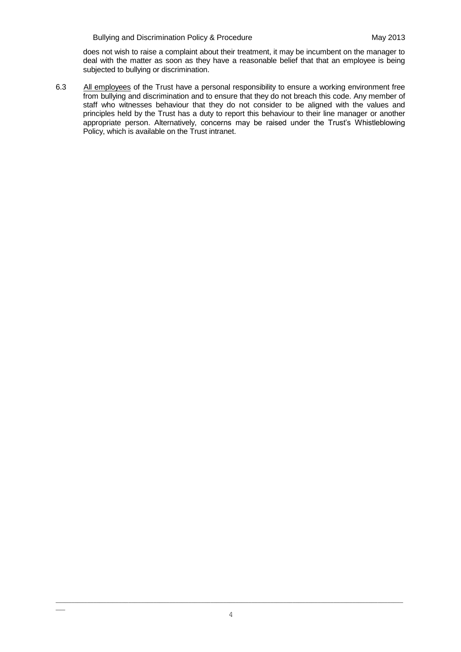does not wish to raise a complaint about their treatment, it may be incumbent on the manager to deal with the matter as soon as they have a reasonable belief that that an employee is being subjected to bullying or discrimination.

6.3 All employees of the Trust have a personal responsibility to ensure a working environment free from bullying and discrimination and to ensure that they do not breach this code. Any member of staff who witnesses behaviour that they do not consider to be aligned with the values and principles held by the Trust has a duty to report this behaviour to their line manager or another appropriate person. Alternatively, concerns may be raised under the Trust's Whistleblowing Policy, which is available on the Trust intranet.

\_\_\_\_\_\_\_\_\_\_\_\_\_\_\_\_\_\_\_\_\_\_\_\_\_\_\_\_\_\_\_\_\_\_\_\_\_\_\_\_\_\_\_\_\_\_\_\_\_\_\_\_\_\_\_\_\_\_\_\_\_\_\_\_\_\_\_\_\_\_\_\_\_\_\_\_\_\_\_\_\_\_\_\_\_\_\_\_\_\_\_\_\_\_\_\_\_\_\_\_\_\_\_\_\_\_\_\_\_\_

 $\overline{\phantom{a}}$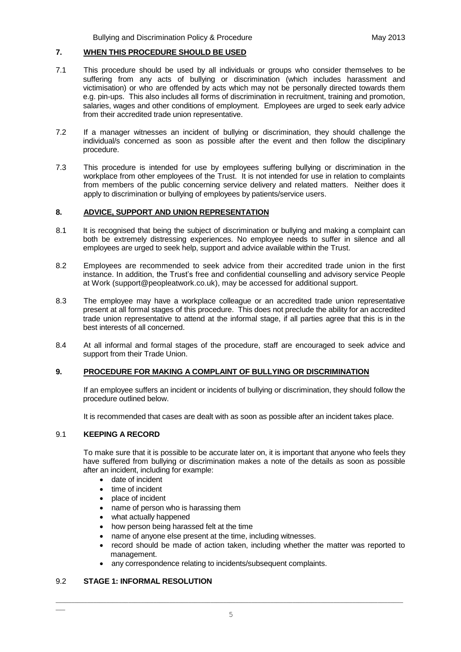#### **7. WHEN THIS PROCEDURE SHOULD BE USED**

- 7.1 This procedure should be used by all individuals or groups who consider themselves to be suffering from any acts of bullying or discrimination (which includes harassment and victimisation) or who are offended by acts which may not be personally directed towards them e.g. pin-ups. This also includes all forms of discrimination in recruitment, training and promotion, salaries, wages and other conditions of employment. Employees are urged to seek early advice from their accredited trade union representative.
- 7.2 If a manager witnesses an incident of bullying or discrimination, they should challenge the individual/s concerned as soon as possible after the event and then follow the disciplinary procedure.
- 7.3 This procedure is intended for use by employees suffering bullying or discrimination in the workplace from other employees of the Trust. It is not intended for use in relation to complaints from members of the public concerning service delivery and related matters. Neither does it apply to discrimination or bullying of employees by patients/service users.

#### **8. ADVICE, SUPPORT AND UNION REPRESENTATION**

- 8.1 It is recognised that being the subject of discrimination or bullying and making a complaint can both be extremely distressing experiences. No employee needs to suffer in silence and all employees are urged to seek help, support and advice available within the Trust.
- 8.2 Employees are recommended to seek advice from their accredited trade union in the first instance. In addition, the Trust's free and confidential counselling and advisory service People at Work (support@peopleatwork.co.uk), may be accessed for additional support.
- 8.3 The employee may have a workplace colleague or an accredited trade union representative present at all formal stages of this procedure. This does not preclude the ability for an accredited trade union representative to attend at the informal stage, if all parties agree that this is in the best interests of all concerned.
- 8.4 At all informal and formal stages of the procedure, staff are encouraged to seek advice and support from their Trade Union.

## **9. PROCEDURE FOR MAKING A COMPLAINT OF BULLYING OR DISCRIMINATION**

If an employee suffers an incident or incidents of bullying or discrimination, they should follow the procedure outlined below.

It is recommended that cases are dealt with as soon as possible after an incident takes place.

#### 9.1 **KEEPING A RECORD**

To make sure that it is possible to be accurate later on, it is important that anyone who feels they have suffered from bullying or discrimination makes a note of the details as soon as possible after an incident, including for example:

- date of incident
- $\bullet$  time of incident
- place of incident
- name of person who is harassing them
- what actually happened
- how person being harassed felt at the time
- name of anyone else present at the time, including witnesses.
- record should be made of action taken, including whether the matter was reported to management.
- any correspondence relating to incidents/subsequent complaints.

## 9.2 **STAGE 1: INFORMAL RESOLUTION**

 $\overline{\phantom{a}}$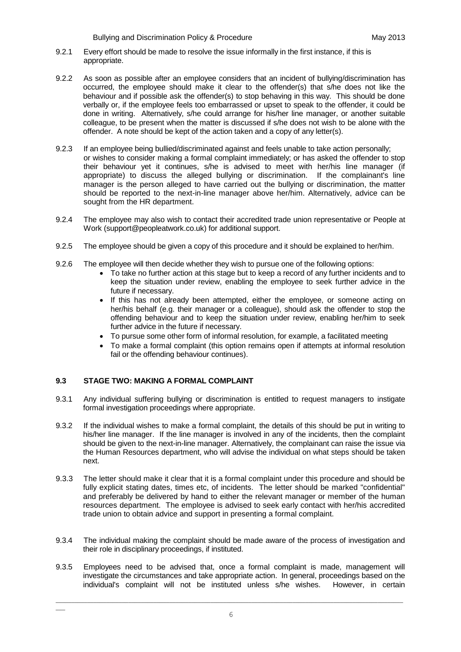- 9.2.1 Every effort should be made to resolve the issue informally in the first instance, if this is appropriate.
- 9.2.2 As soon as possible after an employee considers that an incident of bullying/discrimination has occurred, the employee should make it clear to the offender(s) that s/he does not like the behaviour and if possible ask the offender(s) to stop behaving in this way. This should be done verbally or, if the employee feels too embarrassed or upset to speak to the offender, it could be done in writing. Alternatively, s/he could arrange for his/her line manager, or another suitable colleague, to be present when the matter is discussed if s/he does not wish to be alone with the offender. A note should be kept of the action taken and a copy of any letter(s).
- 9.2.3 If an employee being bullied/discriminated against and feels unable to take action personally; or wishes to consider making a formal complaint immediately; or has asked the offender to stop their behaviour yet it continues, s/he is advised to meet with her/his line manager (if appropriate) to discuss the alleged bullying or discrimination. If the complainant's line manager is the person alleged to have carried out the bullying or discrimination, the matter should be reported to the next-in-line manager above her/him. Alternatively, advice can be sought from the HR department.
- 9.2.4 The employee may also wish to contact their accredited trade union representative or People at Work (support@peopleatwork.co.uk) for additional support.
- 9.2.5 The employee should be given a copy of this procedure and it should be explained to her/him.
- 9.2.6 The employee will then decide whether they wish to pursue one of the following options:
	- To take no further action at this stage but to keep a record of any further incidents and to keep the situation under review, enabling the employee to seek further advice in the future if necessary.
	- If this has not already been attempted, either the employee, or someone acting on her/his behalf (e.g. their manager or a colleague), should ask the offender to stop the offending behaviour and to keep the situation under review, enabling her/him to seek further advice in the future if necessary.
	- To pursue some other form of informal resolution, for example, a facilitated meeting
	- To make a formal complaint (this option remains open if attempts at informal resolution fail or the offending behaviour continues).

## **9.3 STAGE TWO: MAKING A FORMAL COMPLAINT**

 $\overline{\phantom{a}}$ 

- 9.3.1 Any individual suffering bullying or discrimination is entitled to request managers to instigate formal investigation proceedings where appropriate.
- 9.3.2 If the individual wishes to make a formal complaint, the details of this should be put in writing to his/her line manager. If the line manager is involved in any of the incidents, then the complaint should be given to the next-in-line manager. Alternatively, the complainant can raise the issue via the Human Resources department, who will advise the individual on what steps should be taken next.
- 9.3.3 The letter should make it clear that it is a formal complaint under this procedure and should be fully explicit stating dates, times etc, of incidents. The letter should be marked "confidential" and preferably be delivered by hand to either the relevant manager or member of the human resources department. The employee is advised to seek early contact with her/his accredited trade union to obtain advice and support in presenting a formal complaint.
- 9.3.4 The individual making the complaint should be made aware of the process of investigation and their role in disciplinary proceedings, if instituted.
- 9.3.5 Employees need to be advised that, once a formal complaint is made, management will investigate the circumstances and take appropriate action. In general, proceedings based on the individual's complaint will not be instituted unless s/he wishes. However, in certain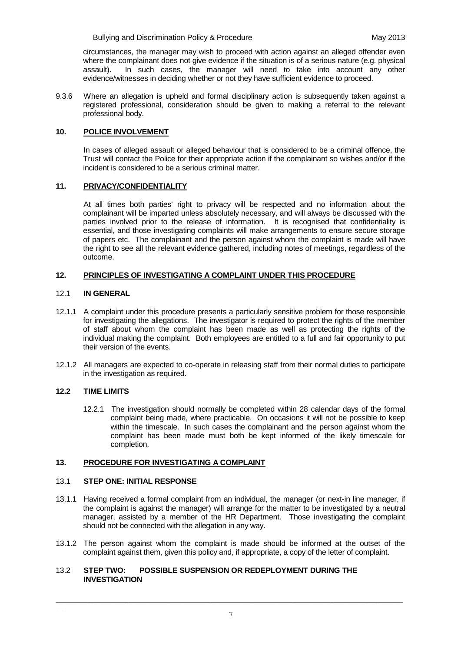circumstances, the manager may wish to proceed with action against an alleged offender even where the complainant does not give evidence if the situation is of a serious nature (e.g. physical assault). In such cases, the manager will need to take into account any other evidence/witnesses in deciding whether or not they have sufficient evidence to proceed.

9.3.6 Where an allegation is upheld and formal disciplinary action is subsequently taken against a registered professional, consideration should be given to making a referral to the relevant professional body.

## **10. POLICE INVOLVEMENT**

In cases of alleged assault or alleged behaviour that is considered to be a criminal offence, the Trust will contact the Police for their appropriate action if the complainant so wishes and/or if the incident is considered to be a serious criminal matter.

## **11. PRIVACY/CONFIDENTIALITY**

At all times both parties' right to privacy will be respected and no information about the complainant will be imparted unless absolutely necessary, and will always be discussed with the parties involved prior to the release of information.It is recognised that confidentiality is essential, and those investigating complaints will make arrangements to ensure secure storage of papers etc. The complainant and the person against whom the complaint is made will have the right to see all the relevant evidence gathered, including notes of meetings, regardless of the outcome.

# **12. PRINCIPLES OF INVESTIGATING A COMPLAINT UNDER THIS PROCEDURE**

# 12.1 **IN GENERAL**

- 12.1.1 A complaint under this procedure presents a particularly sensitive problem for those responsible for investigating the allegations. The investigator is required to protect the rights of the member of staff about whom the complaint has been made as well as protecting the rights of the individual making the complaint. Both employees are entitled to a full and fair opportunity to put their version of the events.
- 12.1.2 All managers are expected to co-operate in releasing staff from their normal duties to participate in the investigation as required.

## **12.2 TIME LIMITS**

 $\overline{\phantom{a}}$ 

12.2.1 The investigation should normally be completed within 28 calendar days of the formal complaint being made, where practicable. On occasions it will not be possible to keep within the timescale. In such cases the complainant and the person against whom the complaint has been made must both be kept informed of the likely timescale for completion.

## **13. PROCEDURE FOR INVESTIGATING A COMPLAINT**

## 13.1 **STEP ONE: INITIAL RESPONSE**

- 13.1.1 Having received a formal complaint from an individual, the manager (or next-in line manager, if the complaint is against the manager) will arrange for the matter to be investigated by a neutral manager, assisted by a member of the HR Department. Those investigating the complaint should not be connected with the allegation in any way.
- 13.1.2 The person against whom the complaint is made should be informed at the outset of the complaint against them, given this policy and, if appropriate, a copy of the letter of complaint.

# 13.2 **STEP TWO: POSSIBLE SUSPENSION OR REDEPLOYMENT DURING THE INVESTIGATION**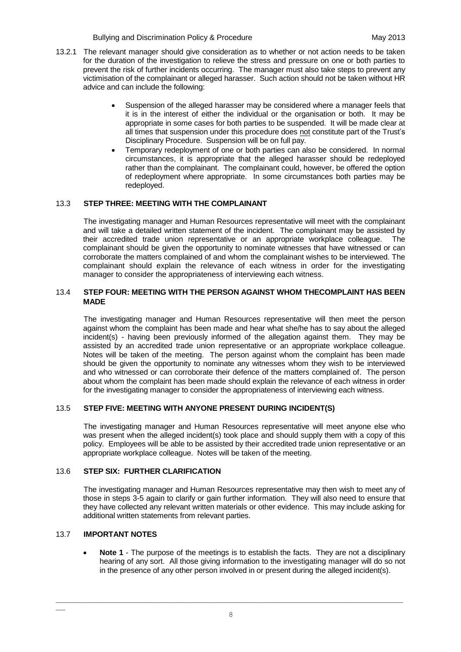- 13.2.1 The relevant manager should give consideration as to whether or not action needs to be taken for the duration of the investigation to relieve the stress and pressure on one or both parties to prevent the risk of further incidents occurring. The manager must also take steps to prevent any victimisation of the complainant or alleged harasser. Such action should not be taken without HR advice and can include the following:
	- Suspension of the alleged harasser may be considered where a manager feels that it is in the interest of either the individual or the organisation or both. It may be appropriate in some cases for both parties to be suspended. It will be made clear at all times that suspension under this procedure does not constitute part of the Trust's Disciplinary Procedure. Suspension will be on full pay.
	- Temporary redeployment of one or both parties can also be considered. In normal circumstances, it is appropriate that the alleged harasser should be redeployed rather than the complainant. The complainant could, however, be offered the option of redeployment where appropriate. In some circumstances both parties may be redeployed.

# 13.3 **STEP THREE: MEETING WITH THE COMPLAINANT**

The investigating manager and Human Resources representative will meet with the complainant and will take a detailed written statement of the incident. The complainant may be assisted by their accredited trade union representative or an appropriate workplace colleague. The complainant should be given the opportunity to nominate witnesses that have witnessed or can corroborate the matters complained of and whom the complainant wishes to be interviewed. The complainant should explain the relevance of each witness in order for the investigating manager to consider the appropriateness of interviewing each witness.

#### 13.4 **STEP FOUR: MEETING WITH THE PERSON AGAINST WHOM THECOMPLAINT HAS BEEN MADE**

The investigating manager and Human Resources representative will then meet the person against whom the complaint has been made and hear what she/he has to say about the alleged incident(s) - having been previously informed of the allegation against them. They may be assisted by an accredited trade union representative or an appropriate workplace colleague. Notes will be taken of the meeting. The person against whom the complaint has been made should be given the opportunity to nominate any witnesses whom they wish to be interviewed and who witnessed or can corroborate their defence of the matters complained of. The person about whom the complaint has been made should explain the relevance of each witness in order for the investigating manager to consider the appropriateness of interviewing each witness.

## 13.5 **STEP FIVE: MEETING WITH ANYONE PRESENT DURING INCIDENT(S)**

The investigating manager and Human Resources representative will meet anyone else who was present when the alleged incident(s) took place and should supply them with a copy of this policy. Employees will be able to be assisted by their accredited trade union representative or an appropriate workplace colleague. Notes will be taken of the meeting.

## 13.6 **STEP SIX: FURTHER CLARIFICATION**

The investigating manager and Human Resources representative may then wish to meet any of those in steps 3-5 again to clarify or gain further information. They will also need to ensure that they have collected any relevant written materials or other evidence. This may include asking for additional written statements from relevant parties.

## 13.7 **IMPORTANT NOTES**

 $\overline{\phantom{a}}$ 

**Note 1** - The purpose of the meetings is to establish the facts. They are not a disciplinary hearing of any sort. All those giving information to the investigating manager will do so not in the presence of any other person involved in or present during the alleged incident(s).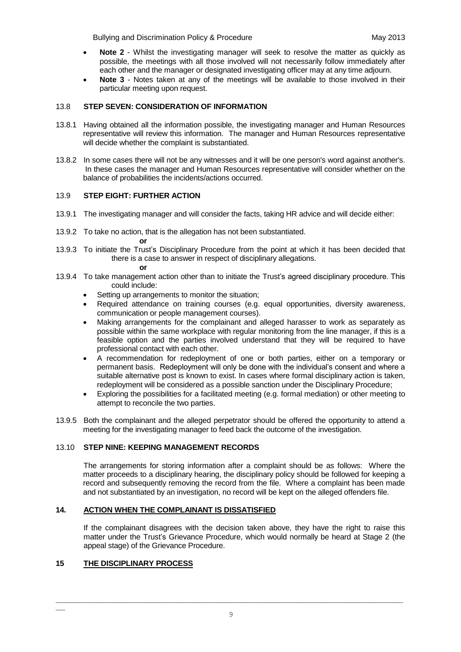- **Note 2**  Whilst the investigating manager will seek to resolve the matter as quickly as possible, the meetings with all those involved will not necessarily follow immediately after each other and the manager or designated investigating officer may at any time adjourn.
- **Note 3**  Notes taken at any of the meetings will be available to those involved in their particular meeting upon request.

## 13.8 **STEP SEVEN: CONSIDERATION OF INFORMATION**

- 13.8.1 Having obtained all the information possible, the investigating manager and Human Resources representative will review this information. The manager and Human Resources representative will decide whether the complaint is substantiated.
- 13.8.2 In some cases there will not be any witnesses and it will be one person's word against another's. In these cases the manager and Human Resources representative will consider whether on the balance of probabilities the incidents/actions occurred.

# 13.9 **STEP EIGHT: FURTHER ACTION**

- 13.9.1 The investigating manager and will consider the facts, taking HR advice and will decide either:
- 13.9.2 To take no action, that is the allegation has not been substantiated.
- 13.9.3 To initiate the Trust's Disciplinary Procedure from the point at which it has been decided that there is a case to answer in respect of disciplinary allegations.

#### **or**

**or**

- 13.9.4 To take management action other than to initiate the Trust's agreed disciplinary procedure. This could include:
	- Setting up arrangements to monitor the situation;
	- Required attendance on training courses (e.g. equal opportunities, diversity awareness, communication or people management courses).
	- Making arrangements for the complainant and alleged harasser to work as separately as possible within the same workplace with regular monitoring from the line manager, if this is a feasible option and the parties involved understand that they will be required to have professional contact with each other.
	- A recommendation for redeployment of one or both parties, either on a temporary or permanent basis. Redeployment will only be done with the individual's consent and where a suitable alternative post is known to exist. In cases where formal disciplinary action is taken, redeployment will be considered as a possible sanction under the Disciplinary Procedure;
	- Exploring the possibilities for a facilitated meeting (e.g. formal mediation) or other meeting to attempt to reconcile the two parties.
- 13.9.5 Both the complainant and the alleged perpetrator should be offered the opportunity to attend a meeting for the investigating manager to feed back the outcome of the investigation.

## 13.10 **STEP NINE: KEEPING MANAGEMENT RECORDS**

The arrangements for storing information after a complaint should be as follows: Where the matter proceeds to a disciplinary hearing, the disciplinary policy should be followed for keeping a record and subsequently removing the record from the file. Where a complaint has been made and not substantiated by an investigation, no record will be kept on the alleged offenders file.

## **14***.* **ACTION WHEN THE COMPLAINANT IS DISSATISFIED**

If the complainant disagrees with the decision taken above, they have the right to raise this matter under the Trust's Grievance Procedure, which would normally be heard at Stage 2 (the appeal stage) of the Grievance Procedure.

## **15 THE DISCIPLINARY PROCESS**

 $\overline{\phantom{a}}$